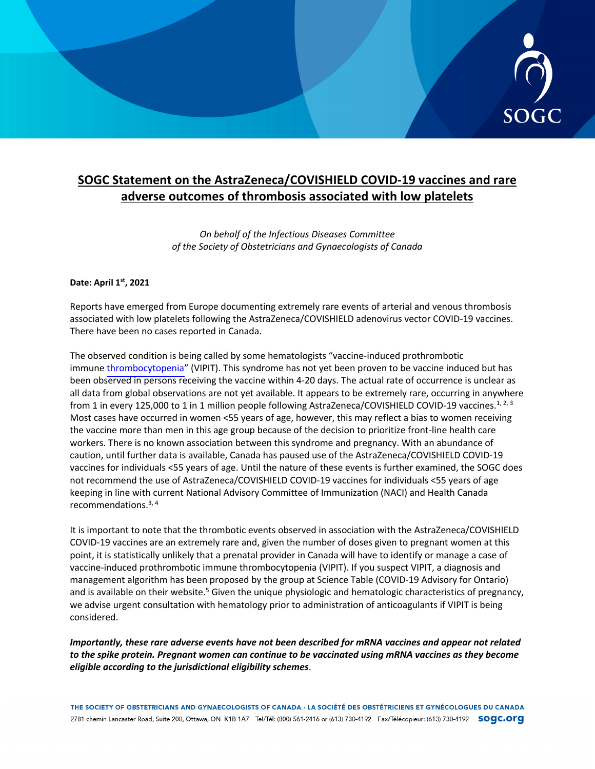

## **SOGC Statement on the AstraZeneca/COVISHIELD COVID-19 vaccines and rare adverse outcomes of thrombosis associated with low platelets**

*On behalf of the Infectious Diseases Committee of the Society of Obstetricians and Gynaecologists of Canada*

## **Date: April 1 st , 2021**

Reports have emerged from Europe documenting extremely rare events of arterial and venous thrombosis associated with low platelets following the AstraZeneca/COVISHIELD adenovirus vector COVID-19 vaccines. There have been no cases reported in Canada.

The observed condition is being called by some hematologists "vaccine-induced prothrombotic immune [thrombocytopenia"](https://covid19-sciencetable.ca/glossary/) (VIPIT). This syndrome has not yet been proven to be vaccine induced but has been observed in persons receiving the vaccine within 4-20 days. The actual rate of occurrence is unclear as all data from global observations are not yet available. It appears to be extremely rare, occurring in anywhere from 1 in every 125,000 to 1 in 1 million people following AstraZeneca/COVISHIELD COVID-19 vaccines.<sup>1, 2, 3</sup> Most cases have occurred in women <55 years of age, however, this may reflect a bias to women receiving the vaccine more than men in this age group because of the decision to prioritize front-line health care workers. There is no known association between this syndrome and pregnancy. With an abundance of caution, until further data is available, Canada has paused use of the AstraZeneca/COVISHIELD COVID-19 vaccines for individuals <55 years of age. Until the nature of these events is further examined, the SOGC does not recommend the use of AstraZeneca/COVISHIELD COVID-19 vaccines for individuals <55 years of age keeping in line with current National Advisory Committee of Immunization (NACI) and Health Canada recommendations.3, 4

It is important to note that the thrombotic events observed in association with the AstraZeneca/COVISHIELD COVID-19 vaccines are an extremely rare and, given the number of doses given to pregnant women at this point, it is statistically unlikely that a prenatal provider in Canada will have to identify or manage a case of vaccine-induced prothrombotic immune thrombocytopenia (VIPIT). If you suspect VIPIT, a diagnosis and management algorithm has been proposed by the group at Science Table (COVID-19 Advisory for Ontario) and is available on their website.<sup>5</sup> Given the unique physiologic and hematologic characteristics of pregnancy, we advise urgent consultation with hematology prior to administration of anticoagulants if VIPIT is being considered.

*Importantly, these rare adverse events have not been described for mRNA vaccines and appear not related to the spike protein. Pregnant women can continue to be vaccinated using mRNA vaccines as they become eligible according to the jurisdictional eligibility schemes*.